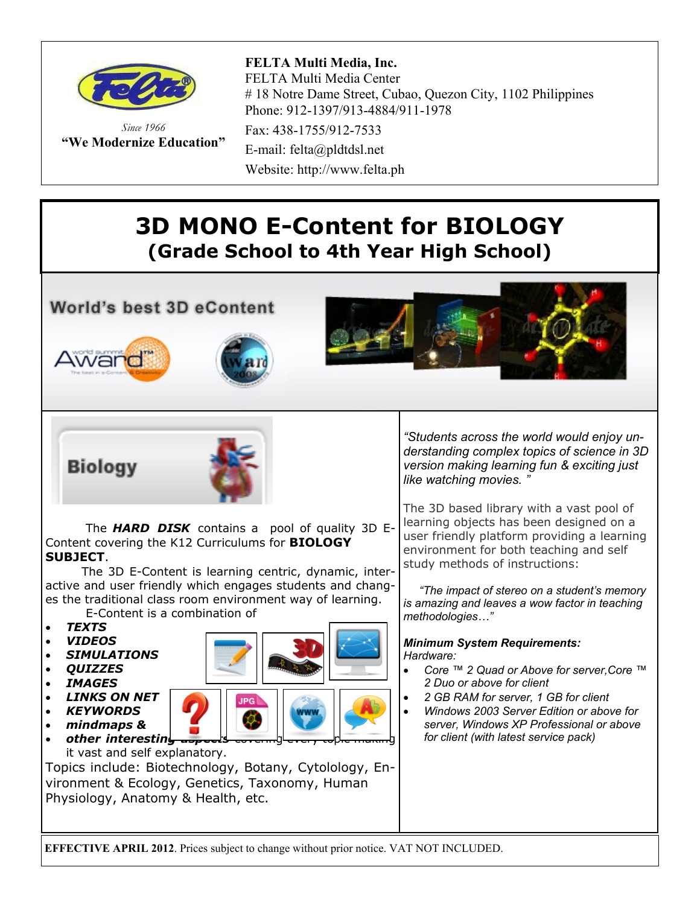

*Since 1966* **"We Modernize Education"** Fax: 438-1755/912-7533

E-mail: felta@pldtdsl.net Website: http://www.felta.ph

## **3D MONO E-Content for BIOLOGY (Grade School to 4th Year High School)**

**World's best 3D eContent** 











 The *HARD DISK* contains a pool of quality 3D E-Content covering the K12 Curriculums for **BIOLOGY SUBJECT**.

 The 3D E-Content is learning centric, dynamic, interactive and user friendly which engages students and changes the traditional class room environment way of learning.

E-Content is a combination of

- *TEXTS*
- *VIDEOS*
- *SIMULATIONS*
- *QUIZZES*
- *IMAGES*
- *LINKS ON NET*
- *KEYWORDS mindmaps &*



*other interesting* it vast and self explanatory.

Topics include: Biotechnology, Botany, Cytolology, Environment & Ecology, Genetics, Taxonomy, Human Physiology, Anatomy & Health, etc.

*"Students across the world would enjoy understanding complex topics of science in 3D version making learning fun & exciting just like watching movies. "*

The 3D based library with a vast pool of learning objects has been designed on a user friendly platform providing a learning environment for both teaching and self study methods of instructions:

 *"The impact of stereo on a student's memory is amazing and leaves a wow factor in teaching methodologies…"*

### *Minimum System Requirements: Hardware:*

- *Core ™ 2 Quad or Above for server,Core ™ 2 Duo or above for client*
- *2 GB RAM for server, 1 GB for client*
- *Windows 2003 Server Edition or above for server, Windows XP Professional or above for client (with latest service pack)*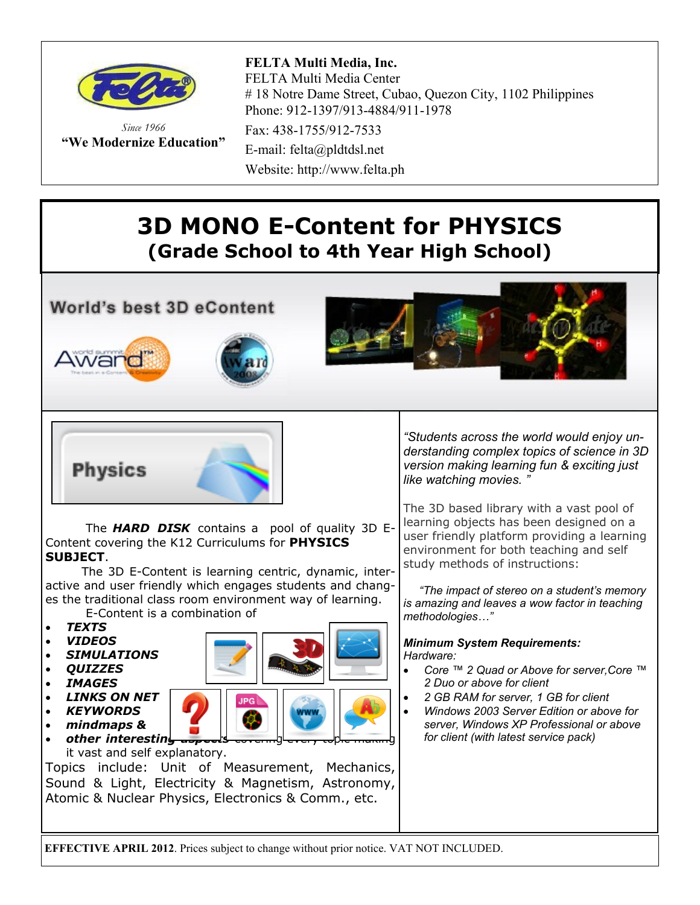

*Since 1966* **"We Modernize Education"** Fax: 438-1755/912-7533

E-mail: felta@pldtdsl.net Website: http://www.felta.ph

## **3D MONO E-Content for PHYSICS (Grade School to 4th Year High School)**

**World's best 3D eContent** 









 The *HARD DISK* contains a pool of quality 3D E-Content covering the K12 Curriculums for **PHYSICS SUBJECT**.

 The 3D E-Content is learning centric, dynamic, interactive and user friendly which engages students and changes the traditional class room environment way of learning.

E-Content is a combination of

- *TEXTS*
- *VIDEOS*
- *SIMULATIONS*
- *QUIZZES*
- *IMAGES*
- *LINKS ON NET*
- *KEYWORDS*
	- *mindmaps &*
- other interesting it vast and self explanatory.

Topics include: Unit of Measurement, Mechanics, Sound & Light, Electricity & Magnetism, Astronomy, Atomic & Nuclear Physics, Electronics & Comm., etc.

*"Students across the world would enjoy understanding complex topics of science in 3D version making learning fun & exciting just like watching movies. "*

The 3D based library with a vast pool of learning objects has been designed on a user friendly platform providing a learning environment for both teaching and self study methods of instructions:

 *"The impact of stereo on a student's memory is amazing and leaves a wow factor in teaching methodologies…"*

### *Minimum System Requirements: Hardware:*

- *Core ™ 2 Quad or Above for server,Core ™ 2 Duo or above for client*
- *2 GB RAM for server, 1 GB for client*
- *Windows 2003 Server Edition or above for server, Windows XP Professional or above for client (with latest service pack)*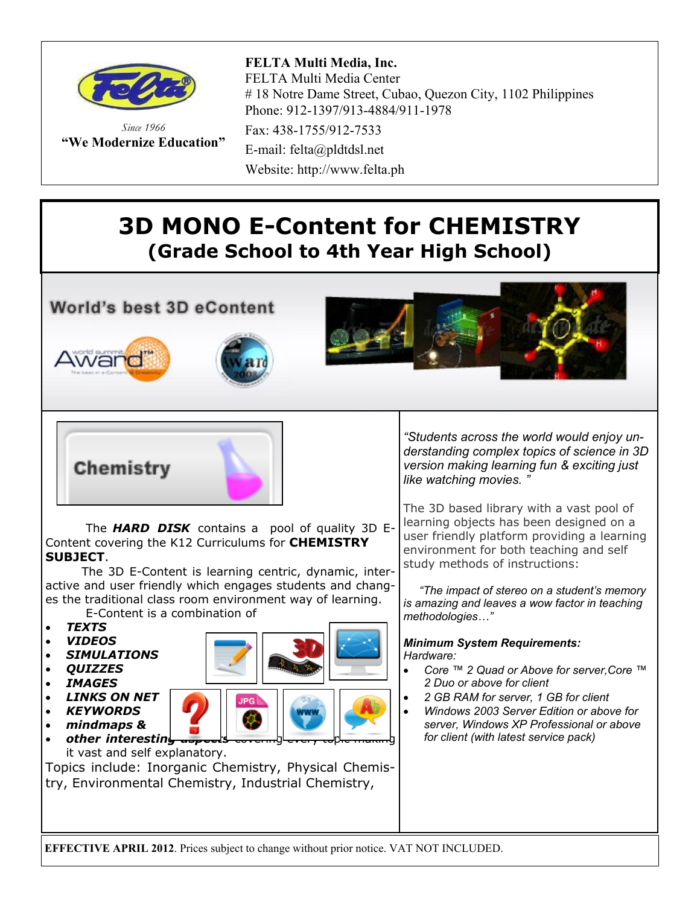

*Since 1966* **"We Modernize Education"**

Fax: 438-1755/912-7533

E-mail: felta@pldtdsl.net Website: http://www.felta.ph

# **3D MONO E-Content for CHEMISTRY (Grade School to 4th Year High School)**

### **World's best 3D eContent**







## Chemistry

 The *HARD DISK* contains a pool of quality 3D E-Content covering the K12 Curriculums for **CHEMISTRY SUBJECT**.

 The 3D E-Content is learning centric, dynamic, interactive and user friendly which engages students and changes the traditional class room environment way of learning.

E-Content is a combination of

- *TEXTS*
- *VIDEOS*
- *SIMULATIONS*
- *QUIZZES*
- *IMAGES*
- *LINKS ON NET*
- *KEYWORDS mindmaps &*



*other interesting* it vast and self explanatory.

Topics include: Inorganic Chemistry, Physical Chemistry, Environmental Chemistry, Industrial Chemistry,

*"Students across the world would enjoy understanding complex topics of science in 3D version making learning fun & exciting just like watching movies. "*

The 3D based library with a vast pool of learning objects has been designed on a user friendly platform providing a learning environment for both teaching and self study methods of instructions:

 *"The impact of stereo on a student's memory is amazing and leaves a wow factor in teaching methodologies…"*

### *Minimum System Requirements: Hardware:*

- *Core ™ 2 Quad or Above for server,Core ™ 2 Duo or above for client*
- *2 GB RAM for server, 1 GB for client*
- *Windows 2003 Server Edition or above for server, Windows XP Professional or above for client (with latest service pack)*